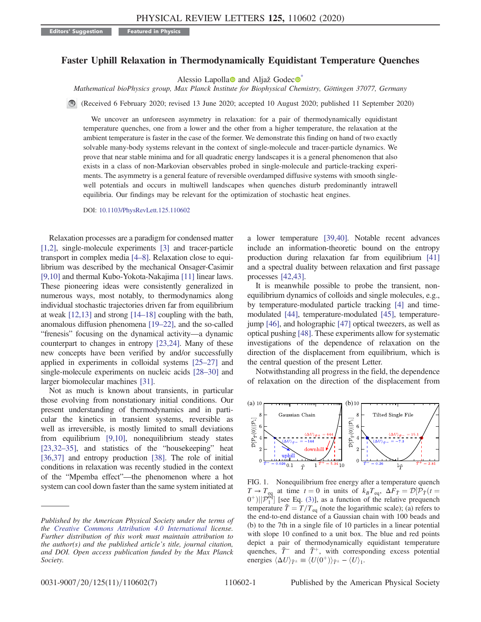## <span id="page-0-1"></span>Faster Uphill Relaxation in Thermodynamically Equidistant Temperature Quenches

Alessio Lapolla $\bullet$  and Aljaž Godec $\bullet$ 

Mathematical bioPhysics group, Max Planck Institute for Biophysical Chemistry, Göttingen 37077, Germany

(Received 6 February 2020; revised 13 June 2020; accepted 10 August 2020; published 11 September 2020)

We uncover an unforeseen asymmetry in relaxation: for a pair of thermodynamically equidistant temperature quenches, one from a lower and the other from a higher temperature, the relaxation at the ambient temperature is faster in the case of the former. We demonstrate this finding on hand of two exactly solvable many-body systems relevant in the context of single-molecule and tracer-particle dynamics. We prove that near stable minima and for all quadratic energy landscapes it is a general phenomenon that also exists in a class of non-Markovian observables probed in single-molecule and particle-tracking experiments. The asymmetry is a general feature of reversible overdamped diffusive systems with smooth singlewell potentials and occurs in multiwell landscapes when quenches disturb predominantly intrawell equilibria. Our findings may be relevant for the optimization of stochastic heat engines.

DOI: [10.1103/PhysRevLett.125.110602](https://doi.org/10.1103/PhysRevLett.125.110602)

Relaxation processes are a paradigm for condensed matter [\[1,2\]](#page-4-1), single-molecule experiments [\[3\]](#page-4-2) and tracer-particle transport in complex media [\[4](#page-4-3)–8]. Relaxation close to equilibrium was described by the mechanical Onsager-Casimir [\[9,10\]](#page-4-4) and thermal Kubo-Yokota-Nakajima [\[11\]](#page-4-5) linear laws. These pioneering ideas were consistently generalized in numerous ways, most notably, to thermodynamics along individual stochastic trajectories driven far from equilibrium at weak [\[12,13\]](#page-4-6) and strong [\[14](#page-4-7)–18] coupling with the bath, anomalous diffusion phenomena [\[19](#page-4-8)–22], and the so-called "frenesis" focusing on the dynamical activity—a dynamic counterpart to changes in entropy [\[23,24\].](#page-4-9) Many of these new concepts have been verified by and/or successfully applied in experiments in colloidal systems [\[25](#page-4-10)–27] and single-molecule experiments on nucleic acids [\[28](#page-5-0)–30] and larger biomolecular machines [\[31\].](#page-5-1)

Not as much is known about transients, in particular those evolving from nonstationary initial conditions. Our present understanding of thermodynamics and in particular the kinetics in transient systems, reversible as well as irreversible, is mostly limited to small deviations from equilibrium [\[9,10\]](#page-4-4), nonequilibrium steady states [\[23,32](#page-4-9)–35], and statistics of the "housekeeping" heat [\[36,37\]](#page-5-2) and entropy production [\[38\].](#page-5-3) The role of initial conditions in relaxation was recently studied in the context of the "Mpemba effect"—the phenomenon where a hot system can cool down faster than the same system initiated at a lower temperature [\[39,40\].](#page-5-4) Notable recent advances include an information-theoretic bound on the entropy production during relaxation far from equilibrium [\[41\]](#page-5-5) and a spectral duality between relaxation and first passage processes [\[42,43\]](#page-5-6).

It is meanwhile possible to probe the transient, nonequilibrium dynamics of colloids and single molecules, e.g., by temperature-modulated particle tracking [\[4\]](#page-4-3) and timemodulated [\[44\]](#page-5-7), temperature-modulated [\[45\],](#page-5-8) temperaturejump [\[46\],](#page-5-9) and holographic [\[47\]](#page-5-10) optical tweezers, as well as optical pushing [\[48\]](#page-5-11). These experiments allow for systematic investigations of the dependence of relaxation on the direction of the displacement from equilibrium, which is the central question of the present Letter.

Notwithstanding all progress in the field, the dependence of relaxation on the direction of the displacement from

<span id="page-0-0"></span>

FIG. 1. Nonequilibrium free energy after a temperature quench  $T \to T_{eq}$  at time  $t = 0$  in units of  $k_B T_{eq}$ ,  $\Delta F_{\tilde{T}} = \mathcal{D}[\mathcal{P}_{\tilde{T}}(t = 0^{+}) \mid \mathcal{D}^{eq}]$  [see Eq. (3)] as a function of the relative prequench  $[0^+][\mathcal{P}^{\text{eq}}]$  [see Eq. [\(3\)](#page-1-0)], as a function of the relative prequench temperature  $\tilde{T} = T/T$  (note the logarithmic scale); (a) refers to temperature  $\tilde{T} = T/T_{eq}$  (note the logarithmic scale); (a) refers to<br>the end-to-end distance of a Gaussian chain with 100 beads and the end-to-end distance of a Gaussian chain with 100 beads and (b) to the 7th in a single file of 10 particles in a linear potential with slope 10 confined to a unit box. The blue and red points depict a pair of thermodynamically equidistant temperature quenches,  $\tilde{T}^-$  and  $\tilde{T}^+$ , with corresponding excess potential energies  $\langle \Delta U \rangle_{\tilde{T}^{\pm}} \equiv \langle U(0^+) \rangle_{\tilde{T}^{\pm}} - \langle U \rangle_1.$ 

Published by the American Physical Society under the terms of the [Creative Commons Attribution 4.0 International](https://creativecommons.org/licenses/by/4.0/) license. Further distribution of this work must maintain attribution to the author(s) and the published article's title, journal citation, and DOI. Open access publication funded by the Max Planck Society.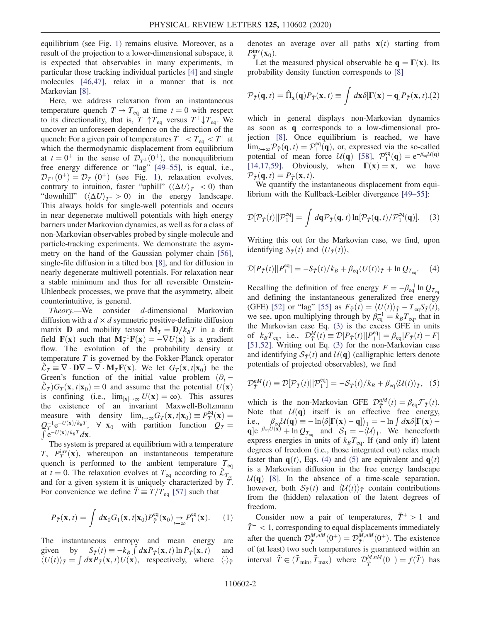equilibrium (see Fig. [1\)](#page-0-0) remains elusive. Moreover, as a result of the projection to a lower-dimensional subspace, it is expected that observables in many experiments, in particular those tracking individual particles [\[4\]](#page-4-3) and single molecules [\[46,47\]](#page-5-9), relax in a manner that is not Markovian [\[8\]](#page-4-11).

Here, we address relaxation from an instantaneous temperature quench  $T \to T_{eq}$  at time  $t = 0$  with respect to its directionality, that is,  $T^{-} \uparrow T_{eq}$  versus  $T^{+} \downarrow T_{eq}$ . We uncover an unforeseen dependence on the direction of the quench: For a given pair of temperatures  $T^{-} < T_{eq} < T^{+}$  at which the thermodynamic displacement from equilibrium at  $t = 0^+$  in the sense of  $\mathcal{D}_{T<sup>\pm</sup>}(0^+)$ , the nonequilibrium free energy difference or "lag" [49–[55\],](#page-5-12) is equal, i.e.,  $\mathcal{D}_{T^+}(0^+) = \mathcal{D}_{T^-}(0^+)$  (see Fig. [1\)](#page-0-0), relaxation evolves, contrary to intuition, faster "uphill" ( $\langle \Delta U \rangle_{T^-}$  < 0) than "downhill"  $(\langle \Delta U \rangle_{T^+} > 0)$  in the energy landscape. This always holds for single-well potentials and occurs in near degenerate multiwell potentials with high energy barriers under Markovian dynamics, as well as for a class of non-Markovian observables probed by single-molecule and particle-tracking experiments. We demonstrate the asymmetry on the hand of the Gaussian polymer chain [\[56\]](#page-5-13), single-file diffusion in a tilted box [\[8\]](#page-4-11), and for diffusion in nearly degenerate multiwell potentials. For relaxation near a stable minimum and thus for all reversible Ornstein-Uhlenbeck processes, we prove that the asymmetry, albeit counterintuitive, is general.

Theory.—We consider d-dimensional Markovian diffusion with a  $d \times d$  symmetric positive-definite diffusion matrix **D** and mobility tensor  $M_T = D/k_BT$  in a drift field  $\mathbf{F}(\mathbf{x})$  such that  $\mathbf{M}_T^{-1}\mathbf{F}(\mathbf{x}) = -\nabla U(\mathbf{x})$  is a gradient<br>flow The evolution of the probability density at flow. The evolution of the probability density at temperature  $T$  is governed by the Fokker-Planck operator  $\hat{\mathcal{L}}_T \equiv \nabla \cdot \mathbf{D} \nabla - \nabla \cdot \mathbf{M}_T \mathbf{F}(\mathbf{x})$ . We let  $G_T(\mathbf{x}, t | \mathbf{x}_0)$  be the Green's function of the initial value problem  $(\partial_t$  −  $\mathcal{L}_T$ ) $G_T(\mathbf{x}, t|\mathbf{x}_0) = 0$  and assume that the potential  $U(\mathbf{x})$ is confining (i.e.,  $\lim_{|\mathbf{x}| \to \infty} U(\mathbf{x}) = \infty$ ). This assures the existence of an invariant Maxwell-Boltzmann measure with density  $\lim_{t\to\infty} G_T(\mathbf{x}, t|\mathbf{x}_0) \equiv P_T^{\text{eq}}(\mathbf{x}) =$ measure with density  $\lim_{t\to\infty} G_T(\mathbf{x}, t | \mathbf{x}_0) \equiv P_T^{\text{eq}}(\mathbf{x}) = Q_T^{-1} e^{-U(\mathbf{x})/k_B T}$ ,  $\forall \mathbf{x}_0$  with partition function  $Q_T = \int e^{-U(\mathbf{x})/k_B T} d\mathbf{x}$ .  $\int e^{-U(\mathbf{x})/k_BT}d\mathbf{x}$ .

The system is prepared at equilibrium with a temperature  $T, P_T^{\text{inv}}(x)$ , whereupon an instantaneous temperature<br>quench is performed to the ambient temperature  $T$ quench is performed to the ambient temperature  $T_{eq}$ at  $t = 0$ . The relaxation evolves at  $T_{eq}$  according to  $\hat{\mathcal{L}}_{T_e}$ and for a given system it is uniquely characterized by  $\tilde{T}$ . For convenience we define  $\tilde{T} \equiv T/T_{\text{eq}}$  [\[57\]](#page-5-14) such that

<span id="page-1-3"></span>
$$
P_{\tilde{T}}(\mathbf{x},t) = \int d\mathbf{x}_0 G_1(\mathbf{x},t|\mathbf{x}_0) P_{\tilde{T}}^{\text{eq}}(\mathbf{x}_0) \underset{t \to \infty}{\to} P_1^{\text{eq}}(\mathbf{x}). \tag{1}
$$

The instantaneous entropy and mean energy are given by  $S_{\tilde{T}}(t) \equiv -k_B \int d\mathbf{x} P_{\tilde{T}}(\mathbf{x}, t) \ln P_{\tilde{T}}(\mathbf{x}, t)$  and  $\langle U(t) \rangle_{\tilde{T}} = \int d\mathbf{x} P_{\tilde{T}}(\mathbf{x}, t) U(\mathbf{x})$  respectively where  $\langle \cdot \rangle_{\tilde{T}}$  $\langle U(t) \rangle_{\tilde{T}} = \int d\mathbf{x} P_{\tilde{T}}(\mathbf{x}, t) U(\mathbf{x}),$  respectively, where  $\langle \cdot \rangle_{\tilde{T}}$ 

denotes an average over all paths  $\mathbf{x}(t)$  starting from  $P^{\text{inv}}_{\tilde{T}}(\mathbf{x}_0)$ .<br>Let the

<span id="page-1-4"></span>Let the measured physical observable be  $q = \Gamma(x)$ . Its probability density function corresponds to [\[8\]](#page-4-11)

$$
\mathcal{P}_{\tilde{T}}(\mathbf{q},t) = \hat{\Pi}_{\mathbf{x}}(\mathbf{q})P_{\tilde{T}}(\mathbf{x},t) \equiv \int d\mathbf{x}\delta[\Gamma(\mathbf{x}) - \mathbf{q}]P_{\tilde{T}}(\mathbf{x},t),(2)
$$

which in general displays non-Markovian dynamics as soon as q corresponds to a low-dimensional projection [\[8\].](#page-4-11) Once equilibrium is reached, we have  $\lim_{t\to\infty} \overline{\mathcal{P}}_T(\mathbf{q},t) = \mathcal{P}_1^{\text{eq}}(\mathbf{q})$ , or, expressed via the so-called note that  $\overline{\mathcal{P}}_T(\mathbf{q},t) = e^{-\beta_{\text{eq}}U(\mathbf{q})}$ potential of mean force  $U(\mathbf{q})$  [\[58\],](#page-5-15)  $\mathcal{P}_1^{\text{eq}}(\mathbf{q}) = e^{-\beta_{\text{eq}}U(\mathbf{q})}$ <br>[14.17.59] Obviously when  $\Gamma(\mathbf{x}) = \mathbf{x}$  we have [\[14,17,59\]](#page-4-7). Obviously, when  $\Gamma(x) = x$ , we have  $\mathcal{P}_{\tilde{\tau}}(\mathbf{q}, t) = P_{\tilde{\tau}}(\mathbf{x}, t).$ 

<span id="page-1-0"></span>We quantify the instantaneous displacement from equilibrium with the Kullback-Leibler divergence [\[49](#page-5-12)–55]:

$$
\mathcal{D}[\mathcal{P}_{\tilde{T}}(t)||\mathcal{P}_1^{\text{eq}}] = \int d\mathbf{q} \mathcal{P}_{\tilde{T}}(\mathbf{q}, t) \ln[\mathcal{P}_{\tilde{T}}(\mathbf{q}, t)/\mathcal{P}_1^{\text{eq}}(\mathbf{q})]. \quad (3)
$$

<span id="page-1-1"></span>Writing this out for the Markovian case, we find, upon identifying  $S_{\tilde{T}}(t)$  and  $\langle U_{\tilde{T}}(t)\rangle$ ,

$$
\mathcal{D}[P_{\tilde{T}}(t)||P_1^{\text{eq}}] = -S_{\tilde{T}}(t)/k_B + \beta_{\text{eq}} \langle U(t) \rangle_{\tilde{T}} + \ln Q_{T_{\text{eq}}}.
$$
 (4)

Recalling the definition of free energy  $F = -\beta_{eq}^{-1} \ln Q_{T_{eq}}$ <br>and defining the instantaneous generalized free energy and defining the instantaneous generalized free energy (GFE) [\[52\]](#page-5-16) or "lag" [\[55\]](#page-5-17) as  $F_{\tilde{T}}(t) = \langle U(t) \rangle_{\tilde{T}} - T_{eq} S_{\tilde{T}}(t)$ , we see, upon multiplying through by  $\beta_{eq}^{-1} = k_B T_{eq}$ , that in the Markovian case Eq. (3) is the excess GEE in units the Markovian case Eq. [\(3\)](#page-1-0) is the excess GFE in units of  $k_B T_{eq}$ , i.e.,  $\mathcal{D}_T^M(t) \equiv \mathcal{D}[P_{\tilde{T}}(t)||P_1^{eq}] = \beta_{eq}[F_{\tilde{T}}(t) - F]$ <br>[51.52] Writing out Eq. (3) for the non-Markovian case of  $\kappa_B T_{eq}$ , i.e.,  $D_{\tilde{T}}(t) = D[T_T(t)]T_{1} - D_{eq}[T_T(t) - T_{1}]$ <br>[\[51,52\]](#page-5-18). Writing out Eq. [\(3\)](#page-1-0) for the non-Markovian case and identifying  $S_{\tilde{T}}(t)$  and  $\mathcal{U}(\mathbf{q})$  (calligraphic letters denote potentials of projected observables), we find

<span id="page-1-2"></span>
$$
\mathcal{D}_{\tilde{T}}^{nM}(t) \equiv \mathcal{D}[\mathcal{P}_{\tilde{T}}(t)||\mathcal{P}_{1}^{\text{eq}}] = -\mathcal{S}_{\tilde{T}}(t)/k_B + \beta_{\text{eq}}\langle\mathcal{U}(t)\rangle_{\tilde{T}}, \quad (5)
$$

which is the non-Markovian GFE  $\mathcal{D}_{\tilde{T}}^{nM}(t) = \beta_{eq} \mathcal{F}_{\tilde{T}}(t)$ .<br>Note that  $\mathcal{U}(\mathbf{\alpha})$  itself is an effective free energy Note that  $U(\mathbf{q})$  itself is an effective free energy,<br>i.e.,  $\beta_{eq}U(\mathbf{q}) = -\ln \langle \delta[\mathbf{\Gamma}(\mathbf{x}) - \mathbf{q}]\rangle_1 = -\ln \int d\mathbf{x} \delta[\mathbf{\Gamma}(\mathbf{x}) - \mathbf{q}]$ i.e.,  $\beta_{eq} \mathcal{U}(\mathbf{q}) \equiv -\ln \langle \delta[\mathbf{\Gamma}(\mathbf{x}) - \mathbf{q}] \rangle_1 = -\ln \int d\mathbf{x} \delta[\mathbf{\Gamma}(\mathbf{x}) - \mathbf{q}] \rangle_0$  $q]e^{-\beta_{eq}U(\mathbf{x})} + \ln Q_{T_{eq}}$  and  $S_1 = -\langle U \rangle_1$ . We henceforth express energies in units of  $k_B T_{eq}$ . If (and only if) latent degrees of freedom (i.e., those integrated out) relax much faster than  $q(t)$ , Eqs. [\(4\)](#page-1-1) and [\(5\)](#page-1-2) are equivalent and  $q(t)$ is a Markovian diffusion in the free energy landscape  $U(q)$  [\[8\]](#page-4-11). In the absence of a time-scale separation, however, both  $S_{\tilde{T}}(t)$  and  $\langle U(t) \rangle_{\tilde{T}}$  contain contributions from the (hidden) relaxation of the latent degrees of freedom.

Consider now a pair of temperatures,  $\tilde{T}^+ > 1$  and  $\tilde{T}$ <sup>-</sup> < 1, corresponding to equal displacements immediately after the quench  $\mathcal{D}_{\tilde{T}^-}^{M,nM}(0^+) = \mathcal{D}_{\tilde{T}^+}^{M,nM}(0^+)$ . The existence of (at least) two such temperatures is guaranteed within an interval  $\tilde{T} \in (\tilde{T}_{\min}, \tilde{T}_{\max})$  where  $\mathcal{D}_{\tilde{T}}^{M,nM}(0^-) = f(\tilde{T})$  has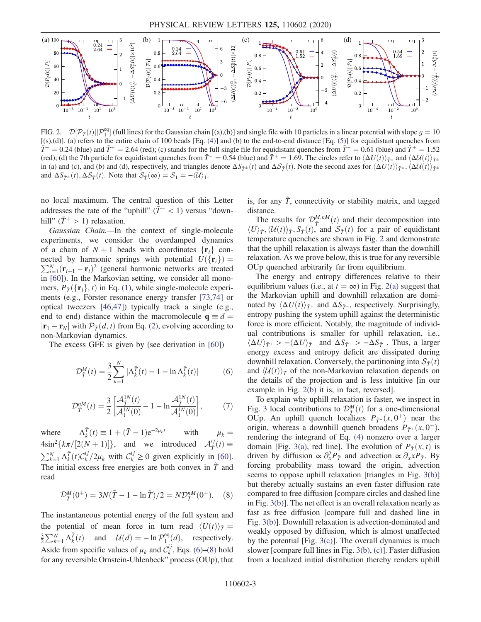<span id="page-2-2"></span>

FIG. 2.  $\mathcal{D}[\mathcal{P}_{\tilde{T}}(t)||\mathcal{P}_{1}^{eq}]$  (full lines) for the Gaussian chain [(a),(b)] and single file with 10 particles in a linear potential with slope  $g = 10$ <br>((s) (d)] (a) refers to the entire chain of 100 beads [Eq. [(s),(d)]. (a) refers to the entire chain of 100 beads [Eq. [\(4\)\]](#page-1-1) and (b) to the end-to-end distance [Eq. [\(5\)\]](#page-1-2) for equidistant quenches from  $\tilde{T}$  = 0.24 (blue) and  $\tilde{T}$  + = 2.64 (red); (c) stands for the full single file for equidistant quenches from  $\tilde{T}$  = 0.61 (blue) and  $\tilde{T}$  + = 1.52 (red); (d) the 7th particle for equidistant quenches from  $\tilde{T} = 0.54$  (blue) and  $\tilde{T}^+ = 1.69$ . The circles refer to  $\langle \Delta U(t) \rangle_{\tilde{T}^{\pm}}$  and  $\langle \Delta U(t) \rangle_{\tilde{T}^{\pm}}$ in (a) and (c), and (b) and (d), respectively, and triangles denote  $\Delta S_{\tilde{T}^{\pm}}(t)$  and  $\Delta S_{\tilde{T}}(t)$ . Note the second axes for  $\langle \Delta U(t) \rangle_{\tilde{T}^{\pm}}$ ,  $\langle \Delta U(t) \rangle_{\tilde{T}^{\pm}}$ and  $\Delta S_{\tilde{T}^{\pm}}(t), \Delta S_{\tilde{T}}(t)$ . Note that  $S_{\tilde{T}}(\infty) = S_1 = -\langle \mathcal{U} \rangle_1$ .

no local maximum. The central question of this Letter addresses the rate of the "uphill" ( $\tilde{T}$ <sup>-</sup> < 1) versus "downhill"  $(T^+ > 1)$  relaxation.

Gaussian Chain.—In the context of single-molecule experiments, we consider the overdamped dynamics of a chain of  $N + 1$  beads with coordinates  $\{r_i\}$  con- $\sum_{i=1}^{N} (\mathbf{r}_{i+1} - \mathbf{r}_i)^2$  (general harmonic networks are treated<br>in [60]). In the Markovian setting, we consider all mononected by harmonic springs with potential  $U({\{ {\bf r}_i \}})$  = in [\[60\]\)](#page-5-19). In the Markovian setting, we consider all monomers,  $P_{\tilde{\tau}}(\{\mathbf{r}_i\}, t)$  in Eq. [\(1\)](#page-1-3), while single-molecule experiments (e.g., Förster resonance energy transfer [\[73,74\]](#page-6-0) or optical tweezers [\[46,47\]](#page-5-9)) typically track a single (e.g., end to end) distance within the macromolecule  $q \equiv d$  $|\mathbf{r}_1 - \mathbf{r}_N|$  with  $\mathcal{P}_{\tilde{T}}(d, t)$  from Eq. [\(2\)](#page-1-4), evolving according to non-Markovian dynamics.

<span id="page-2-0"></span>The excess GFE is given by (see derivation in [\[60\]\)](#page-5-19)

$$
\mathcal{D}_{\tilde{T}}^M(t) = \frac{3}{2} \sum_{k=1}^N \left[ \Lambda_k^{\tilde{T}}(t) - 1 - \ln \Lambda_k^{\tilde{T}}(t) \right] \tag{6}
$$

<span id="page-2-3"></span>
$$
\mathcal{D}_{\tilde{T}}^{nM}(t) = \frac{3}{2} \left[ \frac{\mathcal{A}_{\tilde{T}}^{1N}(t)}{\mathcal{A}_1^{1N}(0)} - 1 - \ln \frac{\mathcal{A}_{\tilde{T}}^{1N}(t)}{\mathcal{A}_1^{1N}(0)} \right],\tag{7}
$$

where  $\Lambda_{k}^{\tilde{T}}(t) \equiv 1 + (\tilde{T} - 1)e^{-2\mu_{k}t}$  with  $4\sin^2{k\pi/[2(N+1)]},$  and we introduced  $A^{ij}_{\tilde{T}}$  $4\sin^2\left\{k\pi/[2(N+1)]\right\}$ , and we introduced  $\mathcal{A}_{\tilde{T}}^{ij}(t) \equiv \sum_{k=1}^{N} \Lambda_k^{\tilde{T}}(t) \mathcal{C}_k^{ij}/2\mu_k$  with  $\mathcal{C}_k^{ij} \ge 0$  given explicitly in [\[60\]](#page-5-19).<br>The initial excess free energies are both convex in  $\tilde{T}$  and The initial excess free energies are both convex in  $\tilde{T}$  and read

<span id="page-2-1"></span>
$$
\mathcal{D}_{\tilde{T}}^{M}(0^{+}) = 3N(\tilde{T} - 1 - \ln \tilde{T})/2 = N\mathcal{D}_{\tilde{T}}^{nM}(0^{+}).
$$
 (8)

The instantaneous potential energy of the full system and the potential of mean force in turn read  $\langle U(t) \rangle_{\tilde{T}} =$  $\frac{3}{2}\sum_{k=1}^{N} \Lambda_k^{\tilde{T}}(t)$  and  $\mathcal{U}(d) = -\ln \mathcal{P}_1^{\text{eq}}(d)$ , respectively. Aside from specific values of  $\mu_k$  and  $C_k^{ij}$ , Eqs. [\(6\)](#page-2-0)–[\(8\)](#page-2-1) hold for any reversible Ornstein-Uhlenbeck" process (OUp), that is, for any  $\tilde{T}$ , connectivity or stability matrix, and tagged distance.

The results for  $\mathcal{D}_{\tilde{T}}^{M,nM}(t)$  and their decomposition into  $\mathcal{D}_{\tilde{\sigma}}^{M,nM}(t)$ ,  $\mathcal{S}_{\tilde{\sigma}}(t)$  and  $\mathcal{S}_{\tilde{\sigma}}(t)$  for a pair of equidistant  $\langle U \rangle_{\tilde{T}}$ ,  $\langle U(t) \rangle_{\tilde{T}}$ ,  $S_{\tilde{T}}(t)$ , and  $S_{\tilde{T}}(t)$  for a pair of equidistant temperature quenches are shown in Fig. [2](#page-2-2) and demonstrate that the uphill relaxation is always faster than the downhill relaxation. As we prove below, this is true for any reversible OUp quenched arbitrarily far from equilibrium.

The energy and entropy differences relative to their equilibrium values (i.e., at  $t = \infty$ ) in Fig. [2\(a\)](#page-2-2) suggest that the Markovian uphill and downhill relaxation are dominated by  $\langle \Delta U(t) \rangle_{\tilde{T}^+}$  and  $\Delta S_{\tilde{T}^-}$ , respectively. Surprisingly, entropy pushing the system uphill against the deterministic force is more efficient. Notably, the magnitude of individual contributions is smaller for uphill relaxation, i.e.,  $\langle \Delta U \rangle_{\tilde{T}^+} > -\langle \Delta U \rangle_{\tilde{T}^-}$  and  $\Delta S_{\tilde{T}^+} > -\Delta S_{\tilde{T}^-}$ . Thus, a larger energy excess and entropy deficit are dissipated during downhill relaxation. Conversely, the partitioning into  $S_{\tilde{T}}(t)$ and  $\langle U(t) \rangle_{\tilde{T}}$  of the non-Markovian relaxation depends on the details of the projection and is less intuitive [in our example in Fig. [2\(b\)](#page-2-2) it is, in fact, reversed].

To explain why uphill relaxation is faster, we inspect in Fig. [3](#page-3-0) local contributions to  $\mathcal{D}_{\tau}^{M}(t)$  for a one-dimensional<br>OUD An uphill quench localizes  $P_{\tau}(x, 0^{+})$  near the OUp. An uphill quench localizes  $P_{\tilde{T}}(x, 0^+)$  near the origin, whereas a downhill quench broadens  $P_{\tilde{T}^+}(x, 0^+),$ rendering the integrand of Eq. [\(4\)](#page-1-1) nonzero over a larger domain [Fig. [3\(a\),](#page-3-0) red line]. The evolution of  $P_{\tilde{T}}(x, t)$  is driven by diffusion  $\propto \partial_x^2 P_{\tilde{T}}$  and advection  $\propto \partial_x x P_{\tilde{T}}$ . By forcing probability mass toward the origin, advection seems to oppose uphill relaxation [triangles in Fig. [3\(b\)\]](#page-3-0) but thereby actually sustains an even faster diffusion rate compared to free diffusion [compare circles and dashed line in Fig. [3\(b\)](#page-3-0)]. The net effect is an overall relaxation nearly as fast as free diffusion [compare full and dashed line in Fig. [3\(b\)](#page-3-0)]. Downhill relaxation is advection-dominated and weakly opposed by diffusion, which is almost unaffected by the potential [Fig.  $3(c)$ ]. The overall dynamics is much slower [compare full lines in Fig. [3\(b\),](#page-3-0) [\(c\)](#page-3-0)]. Faster diffusion from a localized initial distribution thereby renders uphill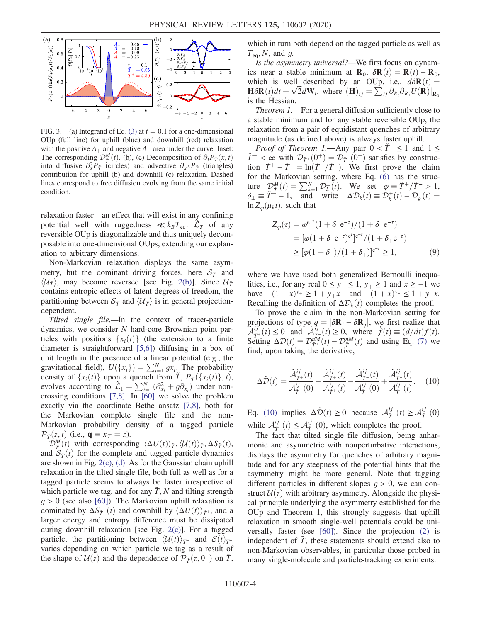<span id="page-3-0"></span>

FIG. 3. (a) Integrand of Eq. [\(3\)](#page-1-0) at  $t = 0.1$  for a one-dimensional OUp (full line) for uphill (blue) and downhill (red) relaxation with the positive  $A_+$  and negative  $A_-$  area under the curve. Inset: The corresponding  $\mathcal{D}_{\tau}^{M}(t)$ . (b), (c) Decomposition of  $\partial_{t}P_{\tau}(x,t)$ <br>into diffusive  $\partial_{t}^{2}P_{\tau}$  (circles) and advective  $\partial_{t}P_{\tau}$  (triangles) into diffusive  $\partial_x^2 P_{\tilde{T}}$  (circles) and advective  $\partial_x x P_{\tilde{T}}$  (triangles) contribution for uphill (b) and downhill (c) relaxation. Dashed lines correspond to free diffusion evolving from the same initial condition.

relaxation faster—an effect that will exist in any confining potential well with ruggedness  $\ll k_B T_{\text{eq}}$ .  $\mathcal{L}_T$  of any reversible OUp is diagonalizable and thus uniquely decomposable into one-dimensional OUps, extending our explanation to arbitrary dimensions.

Non-Markovian relaxation displays the same asymmetry, but the dominant driving forces, here  $S_{\tilde{T}}$  and  $\langle \mathcal{U}_{\tilde{\mathcal{T}}} \rangle$ , may become reversed [see Fig. [2\(b\)](#page-2-2)]. Since  $\mathcal{U}_{\tilde{\mathcal{T}}}$ contains entropic effects of latent degrees of freedom, the partitioning between  $S_{\tilde{T}}$  and  $\langle \mathcal{U}_{\tilde{T}} \rangle$  is in general projectiondependent.

Tilted single file.—In the context of tracer-particle dynamics, we consider N hard-core Brownian point particles with positions  $\{x_i(t)\}\$  (the extension to a finite diameter is straightforward [\[5,6\]\)](#page-4-12) diffusing in a box of unit length in the presence of a linear potential (e.g., the gravitational field),  $U({x_i}) = \sum_{i=1}^{N} g_{x_i}$ . The probability density of  $\{x_i(t)\}$  upon a quench from  $\tilde{T} P_{\tilde{\sigma}}(\{x_i(t)\} | t)$ density of  $\{x_i(t)\}$  upon a quench from  $\tilde{T}$ ,  $P_{\tilde{T}}(\{x_i(t)\}, t)$ ,<br>evolves according to  $\hat{C}_t = \sum_{i=1}^{N} (\partial^2 + \partial^2)$  under nonevolves according to  $\hat{\mathcal{L}}_1 = \sum_{i=1}^N (\partial_{x_i}^2 + g \partial_{x_i})$  under non-<br>crossing conditions [7.8]. In [60] we solve the problem crossing conditions [\[7,8\]](#page-4-13). In [\[60\]](#page-5-19) we solve the problem exactly via the coordinate Bethe ansatz [\[7,8\]](#page-4-13), both for the Markovian complete single file and the non-Markovian probability density of a tagged particle  $\mathcal{P}_{\tilde{\tau}}(z,t)$  (i.e.,  $\mathbf{q} \equiv x_{\mathcal{T}} = z$ ).

 $\mathcal{D}_{\bar{T}}^{\mathcal{M}}(t)$  with corresponding  $\langle \Delta U(t) \rangle_{\bar{T}}$ ,  $\langle \mathcal{U}(t) \rangle_{\bar{T}}$ ,  $\Delta S_{\bar{T}}(t)$ ,  $\Delta S_{\bar{T}}(t)$ ,  $\Delta S_{\bar{T}}(t)$ , for the complete and tagged particle dynamics and  $S_{\tilde{T}}(t)$  for the complete and tagged particle dynamics are shown in Fig. [2\(c\)](#page-2-2), [\(d\)](#page-2-2). As for the Gaussian chain uphill relaxation in the tilted single file, both full as well as for a tagged particle seems to always be faster irrespective of which particle we tag, and for any  $\tilde{T}$ , N and tilting strength  $g > 0$  (see also [\[60\]\)](#page-5-19). The Markovian uphill relaxation is dominated by  $\Delta S_{\tilde{T}^{-}}(t)$  and downhill by  $\langle \Delta U(t) \rangle_{\tilde{T}^{+}}$ , and a larger energy and entropy difference must be dissipated during downhill relaxation [see Fig. [2\(c\)](#page-2-2)]. For a tagged particle, the partitioning between  $\langle U(t) \rangle_{\tilde{T}^{-}}$  and  $S(t)_{\tilde{T}^{-}}$ varies depending on which particle we tag as a result of the shape of  $U(z)$  and the dependence of  $\mathcal{P}_{\tilde{T}}(z, 0^-)$  on  $\tilde{T}$ , which in turn both depend on the tagged particle as well as  $T_{eq}$ , N, and g.

Is the asymmetry universal?—We first focus on dynamics near a stable minimum at  $\mathbf{R}_0$ ,  $\delta \mathbf{R}(t) = \mathbf{R}(t) - \mathbf{R}_0$ , which is well described by an OUp, i.e.,  $d\delta \mathbf{R}(t) =$  $\mathbf{H}\delta\mathbf{R}(t)dt + \sqrt{2}d\mathbf{W}_t$ , where  $(\mathbf{H})_{ij} = \sum_{ij} \partial_{R_i} \partial_{R_j} U(\mathbf{R})|_{\mathbf{R}_0}$ is the Hessian.

Theorem 1.—For a general diffusion sufficiently close to a stable minimum and for any stable reversible OUp, the relaxation from a pair of equidistant quenches of arbitrary magnitude (as defined above) is always faster uphill.

*Proof of Theorem 1.*—Any pair  $0 < \tilde{T}^{-} \le 1$  and  $1 \le$  $\tilde{T}^+ < \infty$  with  $\mathcal{D}_{\tilde{T}^+}(0^+) = \mathcal{D}_{\tilde{T}^-}(0^+)$  satisfies by construction  $\tilde{T}^+ - \tilde{T}^- = \ln(\tilde{T}^+ / \tilde{T}^-)$ . We first prove the claim for the Markovian setting, where Eq. [\(6\)](#page-2-0) has the structure  $\mathcal{D}_{\tilde{T}}^{M}(t) = \sum_{k=1}^{N} \mathcal{D}_{k}^{\pm}(t)$ . We set  $\varphi = \tilde{T}^{+}/\tilde{T}^{-} > 1$ ,<br>  $\delta_{\pm} \equiv \tilde{T}^{\pm} - 1$ , and write  $\Delta \mathcal{D}_{k}(t) \equiv \mathcal{D}_{k}^{+}(t) - \mathcal{D}_{k}^{-}(t) =$ <br>  $\ln Z(\mu, t)$  such that  $\ln Z_{\varphi}(\mu_k t)$ , such that

$$
Z_{\varphi}(\tau) = \varphi^{e^{-\tau}} (1 + \delta_{-} e^{-\tau}) / (1 + \delta_{+} e^{-\tau})
$$
  
=  $[\varphi (1 + \delta_{-} e^{-\tau})^{e^{\tau}}]^{e^{-\tau}} / (1 + \delta_{+} e^{-\tau})$   
 $\geq [\varphi (1 + \delta_{-}) / (1 + \delta_{+})]^{e^{-\tau}} \geq 1,$  (9)

where we have used both generalized Bernoulli inequalities, i.e., for any real  $0 \le y_-\le 1$ ,  $y_+\ge 1$  and  $x \ge -1$  we have  $(1 + x)^{y_+} \ge 1 + y_+ x$  and  $(1 + x)^{y_-} \le 1 + y_- x$ . Recalling the definition of  $\Delta \mathcal{D}_k(t)$  completes the proof.

<span id="page-3-1"></span>To prove the claim in the non-Markovian setting for projections of type  $q = |\delta \mathbf{R}_i - \delta \mathbf{R}_j|$ , we first realize that  $\mathcal{A}_{\tilde{T}^+}^{i\tilde{j}'}(t) \leq 0$  and  $\mathcal{A}_{\tilde{T}^-}^{i\tilde{j}}(t) \geq 0$ , where  $\dot{f}(t) \equiv (d/dt)f(t)$ .<br>Setting  $\Delta \mathcal{D}(t) = \mathcal{D}_n^{\mu} f(t) - \mathcal{D}_n^{\mu} f(t)$  and using Eq. (7) we Setting  $\Delta \mathcal{D}(t) \equiv \mathcal{D}_{\tilde{T}}^{nM}(t) - \mathcal{D}_{\tilde{T}}^{nM}(t)$  and using Eq. [\(7\)](#page-2-3) we find upon taking the derivative find, upon taking the derivative,

$$
\Delta \dot{\mathcal{D}}(t) = \frac{\dot{\mathcal{A}}_{\tilde{T}^+}^{ij}(t)}{\mathcal{A}_{\tilde{T}^+}^{ij}(0)} - \frac{\dot{\mathcal{A}}_{\tilde{T}^+}^{ij}(t)}{\mathcal{A}_{\tilde{T}^+}^{ij}(t)} - \frac{\dot{\mathcal{A}}_{\tilde{T}^-}^{ij}(t)}{\mathcal{A}_{\tilde{T}^-}^{ij}(0)} + \frac{\dot{\mathcal{A}}_{\tilde{T}^-}^{ij}(t)}{\mathcal{A}_{\tilde{T}^-}^{ij}(t)}.
$$
 (10)

Eq. [\(10\)](#page-3-1) implies  $\Delta \dot{\mathcal{D}}(t) \ge 0$  because  $\mathcal{A}_{\tilde{T}^+}^{ij}(t) \ge \mathcal{A}_{\tilde{T}^+}^{ij}(0)$ while  $A^{ij}_{\tau}(t) \leq A^{ij}_{\tau+}(0)$ , which completes the proof.<br>The feet that tilted single file diffusion, being a

The fact that tilted single file diffusion, being anharmonic and asymmetric with nonperturbative interactions, displays the asymmetry for quenches of arbitrary magnitude and for any steepness of the potential hints that the asymmetry might be more general. Note that tagging different particles in different slopes  $g > 0$ , we can construct  $U(z)$  with arbitrary asymmetry. Alongside the physical principle underlying the asymmetry established for the OUp and Theorem 1, this strongly suggests that uphill relaxation in smooth single-well potentials could be universally faster (see [\[60\]](#page-5-19)). Since the projection [\(2\)](#page-1-4) is independent of  $\tilde{T}$ , these statements should extend also to non-Markovian observables, in particular those probed in many single-molecule and particle-tracking experiments.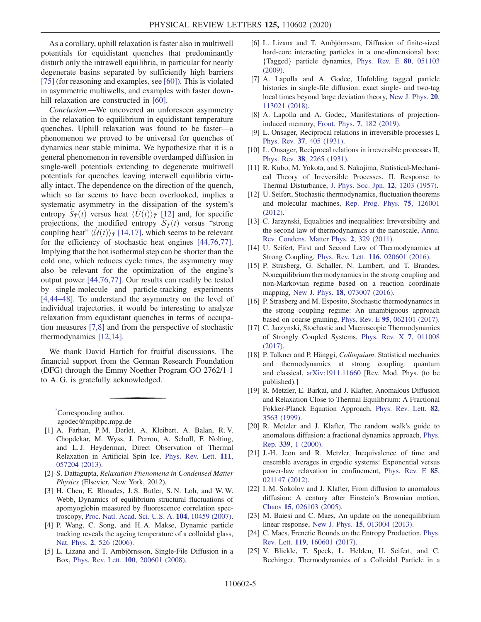As a corollary, uphill relaxation is faster also in multiwell potentials for equidistant quenches that predominantly disturb only the intrawell equilibria, in particular for nearly degenerate basins separated by sufficiently high barriers [\[75\]](#page-6-1) (for reasoning and examples, see [\[60\]\)](#page-5-19). This is violated in asymmetric multiwells, and examples with faster down-hill relaxation are constructed in [\[60\]](#page-5-19).

Conclusion.—We uncovered an unforeseen asymmetry in the relaxation to equilibrium in equidistant temperature quenches. Uphill relaxation was found to be faster—a phenomenon we proved to be universal for quenches of dynamics near stable minima. We hypothesize that it is a general phenomenon in reversible overdamped diffusion in single-well potentials extending to degenerate multiwell potentials for quenches leaving interwell equilibria virtually intact. The dependence on the direction of the quench, which so far seems to have been overlooked, implies a systematic asymmetry in the dissipation of the system's entropy  $\dot{S}_{\tilde{T}}(t)$  versus heat  $\langle \dot{U}(t) \rangle_{\tilde{T}}$  [\[12\]](#page-4-6) and, for specific<br>projections the modified entropy  $\dot{S}_{\tilde{T}}(t)$  versus "strong projections, the modified entropy  $S_{\tilde{T}}(t)$  versus "strong counting heat"  $\langle \tilde{J}/\tilde{J}(t) \rangle_{\tilde{T}}$  [14.17] which seems to be relevant coupling heat"  $\langle U(t) \rangle_{\tilde{T}}$  [\[14,17\]](#page-4-7), which seems to be relevant for the efficiency of stochastic heat engines [\[44,76,77\]](#page-5-7). Implying that the hot isothermal step can be shorter than the cold one, which reduces cycle times, the asymmetry may also be relevant for the optimization of the engine's output power [\[44,76,77\]](#page-5-7). Our results can readily be tested by single-molecule and particle-tracking experiments [\[4,44](#page-4-3)–48]. To understand the asymmetry on the level of individual trajectories, it would be interesting to analyze relaxation from equidistant quenches in terms of occupation measures [\[7,8\]](#page-4-13) and from the perspective of stochastic thermodynamics [\[12,14\]](#page-4-6).

We thank David Hartich for fruitful discussions. The financial support from the German Research Foundation (DFG) through the Emmy Noether Program GO 2762/1-1 to A. G. is gratefully acknowledged.

<span id="page-4-0"></span>[\\*](#page-0-1) Corresponding author. agodec@mpibpc.mpg.de

- <span id="page-4-1"></span>[1] A. Farhan, P. M. Derlet, A. Kleibert, A. Balan, R. V. Chopdekar, M. Wyss, J. Perron, A. Scholl, F. Nolting, and L. J. Heyderman, Direct Observation of Thermal Relaxation in Artificial Spin Ice, [Phys. Rev. Lett.](https://doi.org/10.1103/PhysRevLett.111.057204) 111, [057204 \(2013\).](https://doi.org/10.1103/PhysRevLett.111.057204)
- [2] S. Dattagupta, Relaxation Phenomena in Condensed Matter Physics (Elsevier, New York, 2012).
- <span id="page-4-2"></span>[3] H. Chen, E. Rhoades, J. S. Butler, S. N. Loh, and W. W. Webb, Dynamics of equilibrium structural fluctuations of apomyoglobin measured by fluorescence correlation spectroscopy, [Proc. Natl. Acad. Sci. U.S. A.](https://doi.org/10.1073/pnas.0704073104) 104, 10459 (2007).
- <span id="page-4-3"></span>[4] P. Wang, C. Song, and H. A. Makse, Dynamic particle tracking reveals the ageing temperature of a colloidal glass, Nat. Phys. 2[, 526 \(2006\)](https://doi.org/10.1038/nphys366).
- <span id="page-4-12"></span>[5] L. Lizana and T. Ambjörnsson, Single-File Diffusion in a Box, Phys. Rev. Lett. 100[, 200601 \(2008\)](https://doi.org/10.1103/PhysRevLett.100.200601).
- [6] L. Lizana and T. Ambjörnsson, Diffusion of finite-sized hard-core interacting particles in a one-dimensional box: {Tagged} particle dynamics, [Phys. Rev. E](https://doi.org/10.1103/PhysRevE.80.051103) 80, 051103 [\(2009\).](https://doi.org/10.1103/PhysRevE.80.051103)
- <span id="page-4-13"></span>[7] A. Lapolla and A. Godec, Unfolding tagged particle histories in single-file diffusion: exact single- and two-tag local times beyond large deviation theory, [New J. Phys.](https://doi.org/10.1088/1367-2630/aaea1b) 20, [113021 \(2018\).](https://doi.org/10.1088/1367-2630/aaea1b)
- <span id="page-4-11"></span>[8] A. Lapolla and A. Godec, Manifestations of projectioninduced memory, Front. Phys. 7[, 182 \(2019\).](https://doi.org/10.3389/fphy.2019.00182)
- <span id="page-4-4"></span>[9] L. Onsager, Reciprocal relations in irreversible processes I, Phys. Rev. 37[, 405 \(1931\).](https://doi.org/10.1103/PhysRev.37.405)
- [10] L. Onsager, Reciprocal relations in irreversible processes II, Phys. Rev. 38[, 2265 \(1931\).](https://doi.org/10.1103/PhysRev.38.2265)
- <span id="page-4-5"></span>[11] R. Kubo, M. Yokota, and S. Nakajima, Statistical-Mechanical Theory of Irreversible Processes. II. Response to Thermal Disturbance, [J. Phys. Soc. Jpn.](https://doi.org/10.1143/JPSJ.12.1203) 12, 1203 (1957).
- <span id="page-4-6"></span>[12] U. Seifert, Stochastic thermodynamics, fluctuation theorems and molecular machines, [Rep. Prog. Phys.](https://doi.org/10.1088/0034-4885/75/12/126001) 75, 126001 [\(2012\).](https://doi.org/10.1088/0034-4885/75/12/126001)
- [13] C. Jarzynski, Equalities and inequalities: Irreversibility and the second law of thermodynamics at the nanoscale, [Annu.](https://doi.org/10.1146/annurev-conmatphys-062910-140506) [Rev. Condens. Matter Phys.](https://doi.org/10.1146/annurev-conmatphys-062910-140506) 2, 329 (2011).
- <span id="page-4-7"></span>[14] U. Seifert, First and Second Law of Thermodynamics at Strong Coupling, Phys. Rev. Lett. 116[, 020601 \(2016\)](https://doi.org/10.1103/PhysRevLett.116.020601).
- [15] P. Strasberg, G. Schaller, N. Lambert, and T. Brandes, Nonequilibrium thermodynamics in the strong coupling and non-Markovian regime based on a reaction coordinate mapping, New J. Phys. 18[, 073007 \(2016\)](https://doi.org/10.1088/1367-2630/18/7/073007).
- [16] P. Strasberg and M. Esposito, Stochastic thermodynamics in the strong coupling regime: An unambiguous approach based on coarse graining, Phys. Rev. E 95[, 062101 \(2017\).](https://doi.org/10.1103/PhysRevE.95.062101)
- [17] C. Jarzynski, Stochastic and Macroscopic Thermodynamics of Strongly Coupled Systems, [Phys. Rev. X](https://doi.org/10.1103/PhysRevX.7.011008) 7, 011008 [\(2017\).](https://doi.org/10.1103/PhysRevX.7.011008)
- [18] P. Talkner and P. Hänggi, *Colloquium*: Statistical mechanics and thermodynamics at strong coupling: quantum and classical, [arXiv:1911.11660](https://arXiv.org/abs/1911.11660) [Rev. Mod. Phys. (to be published).]
- <span id="page-4-8"></span>[19] R. Metzler, E. Barkai, and J. Klafter, Anomalous Diffusion and Relaxation Close to Thermal Equilibrium: A Fractional Fokker-Planck Equation Approach, [Phys. Rev. Lett.](https://doi.org/10.1103/PhysRevLett.82.3563) 82, [3563 \(1999\)](https://doi.org/10.1103/PhysRevLett.82.3563).
- [20] R. Metzler and J. Klafter, The random walk's guide to anomalous diffusion: a fractional dynamics approach, [Phys.](https://doi.org/10.1016/S0370-1573(00)00070-3) Rep. 339[, 1 \(2000\).](https://doi.org/10.1016/S0370-1573(00)00070-3)
- [21] J.-H. Jeon and R. Metzler, Inequivalence of time and ensemble averages in ergodic systems: Exponential versus power-law relaxation in confinement, [Phys. Rev. E](https://doi.org/10.1103/PhysRevE.85.021147) 85, [021147 \(2012\).](https://doi.org/10.1103/PhysRevE.85.021147)
- <span id="page-4-9"></span>[22] I. M. Sokolov and J. Klafter, From diffusion to anomalous diffusion: A century after Einstein's Brownian motion, Chaos 15[, 026103 \(2005\).](https://doi.org/10.1063/1.1860472)
- [23] M. Baiesi and C. Maes, An update on the nonequilibrium linear response, New J. Phys. 15[, 013004 \(2013\).](https://doi.org/10.1088/1367-2630/15/1/013004)
- <span id="page-4-10"></span>[24] C. Maes, Frenetic Bounds on the Entropy Production, [Phys.](https://doi.org/10.1103/PhysRevLett.119.160601) Rev. Lett. 119[, 160601 \(2017\).](https://doi.org/10.1103/PhysRevLett.119.160601)
- [25] V. Blickle, T. Speck, L. Helden, U. Seifert, and C. Bechinger, Thermodynamics of a Colloidal Particle in a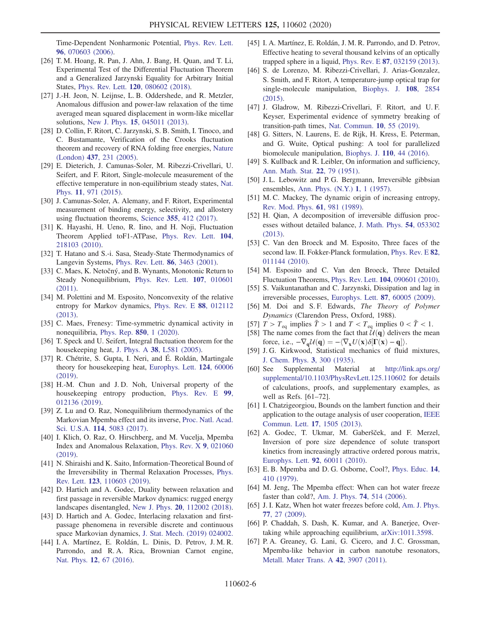Time-Dependent Nonharmonic Potential, [Phys. Rev. Lett.](https://doi.org/10.1103/PhysRevLett.96.070603) 96[, 070603 \(2006\).](https://doi.org/10.1103/PhysRevLett.96.070603)

- [26] T. M. Hoang, R. Pan, J. Ahn, J. Bang, H. Quan, and T. Li, Experimental Test of the Differential Fluctuation Theorem and a Generalized Jarzynski Equality for Arbitrary Initial States, Phys. Rev. Lett. 120[, 080602 \(2018\).](https://doi.org/10.1103/PhysRevLett.120.080602)
- [27] J.-H. Jeon, N. Leijnse, L. B. Oddershede, and R. Metzler, Anomalous diffusion and power-law relaxation of the time averaged mean squared displacement in worm-like micellar solutions, New J. Phys. 15[, 045011 \(2013\)](https://doi.org/10.1088/1367-2630/15/4/045011).
- <span id="page-5-0"></span>[28] D. Collin, F. Ritort, C. Jarzynski, S. B. Smith, I. Tinoco, and C. Bustamante, Verification of the Crooks fluctuation theorem and recovery of RNA folding free energies, [Nature](https://doi.org/10.1038/nature04061) (London) 437[, 231 \(2005\)](https://doi.org/10.1038/nature04061).
- [29] E. Dieterich, J. Camunas-Soler, M. Ribezzi-Crivellari, U. Seifert, and F. Ritort, Single-molecule measurement of the effective temperature in non-equilibrium steady states, [Nat.](https://doi.org/10.1038/nphys3435) Phys. 11[, 971 \(2015\).](https://doi.org/10.1038/nphys3435)
- [30] J. Camunas-Soler, A. Alemany, and F. Ritort, Experimental measurement of binding energy, selectivity, and allostery using fluctuation theorems, Science 355[, 412 \(2017\)](https://doi.org/10.1126/science.aah4077).
- <span id="page-5-1"></span>[31] K. Hayashi, H. Ueno, R. Iino, and H. Noji, Fluctuation Theorem Applied toF1-ATPase, [Phys. Rev. Lett.](https://doi.org/10.1103/PhysRevLett.104.218103) 104, [218103 \(2010\).](https://doi.org/10.1103/PhysRevLett.104.218103)
- [32] T. Hatano and S.-i. Sasa, Steady-State Thermodynamics of Langevin Systems, [Phys. Rev. Lett.](https://doi.org/10.1103/PhysRevLett.86.3463) 86, 3463 (2001).
- [33] C. Maes, K. Netočný, and B. Wynants, Monotonic Return to Steady Nonequilibrium, [Phys. Rev. Lett.](https://doi.org/10.1103/PhysRevLett.107.010601) 107, 010601 [\(2011\).](https://doi.org/10.1103/PhysRevLett.107.010601)
- [34] M. Polettini and M. Esposito, Nonconvexity of the relative entropy for Markov dynamics, [Phys. Rev. E](https://doi.org/10.1103/PhysRevE.88.012112) 88, 012112 [\(2013\).](https://doi.org/10.1103/PhysRevE.88.012112)
- [35] C. Maes, Frenesy: Time-symmetric dynamical activity in nonequilibria, [Phys. Rep.](https://doi.org/10.1016/j.physrep.2020.01.002) 850, 1 (2020).
- <span id="page-5-2"></span>[36] T. Speck and U. Seifert, Integral fluctuation theorem for the housekeeping heat, J. Phys. A 38[, L581 \(2005\).](https://doi.org/10.1088/0305-4470/38/34/L03)
- [37] R. Chétrite, S. Gupta, I. Neri, and É. Roldán, Martingale theory for housekeeping heat, [Europhys. Lett.](https://doi.org/10.1209/0295-5075/124/60006) 124, 60006 [\(2019\).](https://doi.org/10.1209/0295-5075/124/60006)
- <span id="page-5-3"></span>[38] H.-M. Chun and J.D. Noh, Universal property of the housekeeping entropy production, [Phys. Rev. E](https://doi.org/10.1103/PhysRevE.99.012136) 99, [012136 \(2019\).](https://doi.org/10.1103/PhysRevE.99.012136)
- <span id="page-5-4"></span>[39] Z. Lu and O. Raz, Nonequilibrium thermodynamics of the Markovian Mpemba effect and its inverse, [Proc. Natl. Acad.](https://doi.org/10.1073/pnas.1701264114) Sci. U.S.A. 114[, 5083 \(2017\)](https://doi.org/10.1073/pnas.1701264114).
- [40] I. Klich, O. Raz, O. Hirschberg, and M. Vucelja, Mpemba Index and Anomalous Relaxation, [Phys. Rev. X](https://doi.org/10.1103/PhysRevX.9.021060) 9, 021060 [\(2019\).](https://doi.org/10.1103/PhysRevX.9.021060)
- <span id="page-5-5"></span>[41] N. Shiraishi and K. Saito, Information-Theoretical Bound of the Irreversibility in Thermal Relaxation Processes, [Phys.](https://doi.org/10.1103/PhysRevLett.123.110603) Rev. Lett. 123[, 110603 \(2019\).](https://doi.org/10.1103/PhysRevLett.123.110603)
- <span id="page-5-6"></span>[42] D. Hartich and A. Godec, Duality between relaxation and first passage in reversible Markov dynamics: rugged energy landscapes disentangled, New J. Phys. 20[, 112002 \(2018\).](https://doi.org/10.1088/1367-2630/aaf038)
- [43] D. Hartich and A. Godec, Interlacing relaxation and firstpassage phenomena in reversible discrete and continuous space Markovian dynamics, [J. Stat. Mech. \(2019\) 024002.](https://doi.org/10.1088/1742-5468/ab00df)
- <span id="page-5-7"></span>[44] I. A. Martínez, E. Roldán, L. Dinis, D. Petrov, J. M. R. Parrondo, and R. A. Rica, Brownian Carnot engine, Nat. Phys. 12[, 67 \(2016\)](https://doi.org/10.1038/nphys3518).
- <span id="page-5-8"></span>[45] I. A. Martínez, E. Roldán, J. M. R. Parrondo, and D. Petrov, Effective heating to several thousand kelvins of an optically trapped sphere in a liquid, Phys. Rev. E 87[, 032159 \(2013\).](https://doi.org/10.1103/PhysRevE.87.032159)
- <span id="page-5-9"></span>[46] S. de Lorenzo, M. Ribezzi-Crivellari, J. Arias-Gonzalez, S. Smith, and F. Ritort, A temperature-jump optical trap for single-molecule manipulation, [Biophys. J.](https://doi.org/10.1016/j.bpj.2015.05.017) 108, 2854 [\(2015\).](https://doi.org/10.1016/j.bpj.2015.05.017)
- <span id="page-5-10"></span>[47] J. Gladrow, M. Ribezzi-Crivellari, F. Ritort, and U. F. Keyser, Experimental evidence of symmetry breaking of transition-path times, [Nat. Commun.](https://doi.org/10.1038/s41467-018-07873-9) 10, 55 (2019).
- <span id="page-5-11"></span>[48] G. Sitters, N. Laurens, E. de Rijk, H. Kress, E. Peterman, and G. Wuite, Optical pushing: A tool for parallelized biomolecule manipulation, Biophys. J. 110[, 44 \(2016\).](https://doi.org/10.1016/j.bpj.2015.11.028)
- <span id="page-5-12"></span>[49] S. Kullback and R. Leibler, On information and sufficiency, [Ann. Math. Stat.](https://doi.org/10.1214/aoms/1177729694) 22, 79 (1951).
- <span id="page-5-18"></span>[50] J.L. Lebowitz and P.G. Bergmann, Irreversible gibbsian ensembles, [Ann. Phys. \(N.Y.\)](https://doi.org/10.1016/0003-4916(57)90002-7) 1, 1 (1957).
- <span id="page-5-16"></span>[51] M. C. Mackey, The dynamic origin of increasing entropy, [Rev. Mod. Phys.](https://doi.org/10.1103/RevModPhys.61.981) 61, 981 (1989).
- [52] H. Qian, A decomposition of irreversible diffusion processes without detailed balance, [J. Math. Phys.](https://doi.org/10.1063/1.4803847) 54, 053302 [\(2013\).](https://doi.org/10.1063/1.4803847)
- [53] C. Van den Broeck and M. Esposito, Three faces of the second law. II. Fokker-Planck formulation, [Phys. Rev. E](https://doi.org/10.1103/PhysRevE.82.011144) 82, [011144 \(2010\).](https://doi.org/10.1103/PhysRevE.82.011144)
- <span id="page-5-17"></span>[54] M. Esposito and C. Van den Broeck, Three Detailed Fluctuation Theorems, Phys. Rev. Lett. 104[, 090601 \(2010\).](https://doi.org/10.1103/PhysRevLett.104.090601)
- <span id="page-5-13"></span>[55] S. Vaikuntanathan and C. Jarzynski, Dissipation and lag in irreversible processes, [Europhys. Lett.](https://doi.org/10.1209/0295-5075/87/60005) 87, 60005 (2009).
- <span id="page-5-14"></span>[56] M. Doi and S. F. Edwards, The Theory of Polymer Dynamics (Clarendon Press, Oxford, 1988).
- <span id="page-5-15"></span>[57]  $T > T_{\text{eq}}$  implies  $\tilde{T} > 1$  and  $T < T_{\text{eq}}$  implies  $0 < \tilde{T} < 1$ .
- [58] The name comes from the fact that  $U(q)$  delivers the mean force, i.e.,  $-\nabla_{\mathbf{q}} \mathcal{U}(\mathbf{q}) = -\langle \nabla_{\mathbf{x}} U(\mathbf{x}) \delta[\Gamma(\mathbf{x}) - \mathbf{q}] \rangle$ .<br>L.G. Kirkwood, Statistical mechanics of fluid
- <span id="page-5-19"></span>[59] J. G. Kirkwood, Statistical mechanics of fluid mixtures, [J. Chem. Phys.](https://doi.org/10.1063/1.1749657) 3, 300 (1935).
- [60] See Supplemental Material at [http://link.aps.org/](http://link.aps.org/supplemental/10.1103/PhysRevLett.125.110602) [supplemental/10.1103/PhysRevLett.125.110602](http://link.aps.org/supplemental/10.1103/PhysRevLett.125.110602) for details of calculations, proofs, and supplementary examples, as well as Refs. [61–72].
- [61] I. Chatzigeorgiou, Bounds on the lambert function and their application to the outage analysis of user cooperation, [IEEE](https://doi.org/10.1109/LCOMM.2013.070113.130972) [Commun. Lett.](https://doi.org/10.1109/LCOMM.2013.070113.130972) 17, 1505 (2013).
- [62] A. Godec, T. Ukmar, M. Gaberšček, and F. Merzel, Inversion of pore size dependence of solute transport kinetics from increasingly attractive ordered porous matrix, [Europhys. Lett.](https://doi.org/10.1209/0295-5075/92/60011) 92, 60011 (2010).
- [63] E. B. Mpemba and D. G. Osborne, Cool?, [Phys. Educ.](https://doi.org/10.1088/0031-9120/14/7/312) 14, [410 \(1979\)](https://doi.org/10.1088/0031-9120/14/7/312).
- [64] M. Jeng, The Mpemba effect: When can hot water freeze faster than cold?, [Am. J. Phys.](https://doi.org/10.1119/1.2186331) 74, 514 (2006).
- [65] J. I. Katz, When hot water freezes before cold, [Am. J. Phys.](https://doi.org/10.1119/1.2996187) 77[, 27 \(2009\).](https://doi.org/10.1119/1.2996187)
- [66] P. Chaddah, S. Dash, K. Kumar, and A. Banerjee, Overtaking while approaching equilibrium, [arXiv:1011.3598.](https://arXiv.org/abs/1011.3598)
- [67] P.A. Greaney, G. Lani, G. Cicero, and J.C. Grossman, Mpemba-like behavior in carbon nanotube resonators, [Metall. Mater Trans. A](https://doi.org/10.1007/s11661-011-0843-4) 42, 3907 (2011).